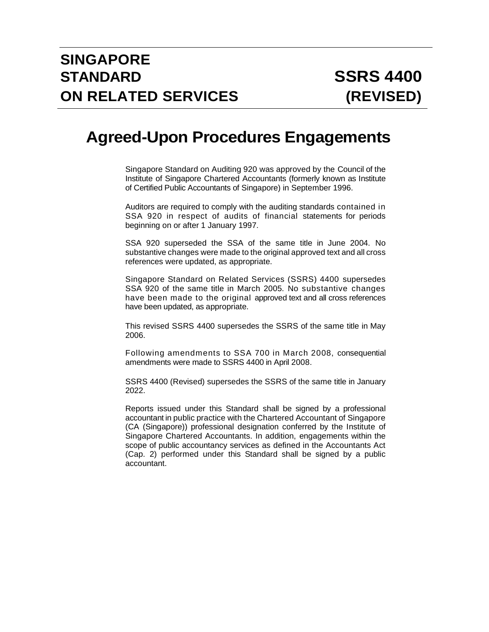# **Agreed-Upon Procedures Engagements**

Singapore Standard on Auditing 920 was approved by the Council of the Institute of Singapore Chartered Accountants (formerly known as Institute of Certified Public Accountants of Singapore) in September 1996.

Auditors are required to comply with the auditing standards contained in SSA 920 in respect of audits of financial statements for periods beginning on or after 1 January 1997.

SSA 920 superseded the SSA of the same title in June 2004. No substantive changes were made to the original approved text and all cross references were updated, as appropriate.

Singapore Standard on Related Services (SSRS) 4400 supersedes SSA 920 of the same title in March 2005. No substantive changes have been made to the original approved text and all cross references have been updated, as appropriate.

This revised SSRS 4400 supersedes the SSRS of the same title in May 2006.

Following amendments to SSA 700 in March 2008, consequential amendments were made to SSRS 4400 in April 2008.

SSRS 4400 (Revised) supersedes the SSRS of the same title in January 2022.

Reports issued under this Standard shall be signed by a professional accountant in public practice with the Chartered Accountant of Singapore (CA (Singapore)) professional designation conferred by the Institute of Singapore Chartered Accountants. In addition, engagements within the scope of public accountancy services as defined in the Accountants Act (Cap. 2) performed under this Standard shall be signed by a public accountant.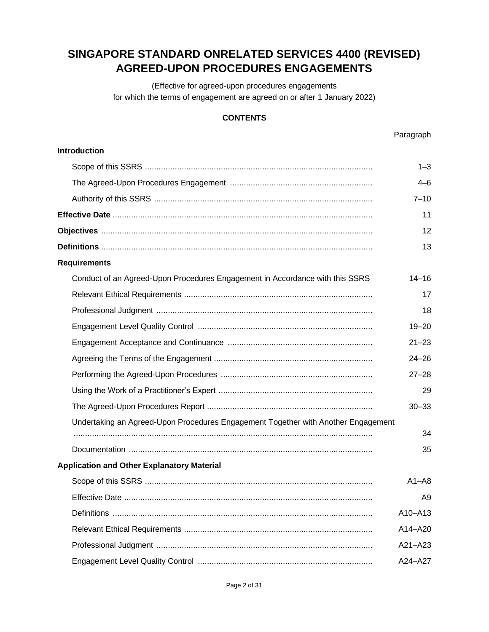# **SINGAPORE STANDARD ONRELATED SERVICES 4400 (REVISED) AGREED-UPON PROCEDURES ENGAGEMENTS**

(Effective for agreed-upon procedures engagements for which the terms of engagement are agreed on or after 1 January 2022)

## **CONTENTS**

|                                                                                   | Paragraph      |
|-----------------------------------------------------------------------------------|----------------|
| <b>Introduction</b>                                                               |                |
|                                                                                   | $1 - 3$        |
|                                                                                   | $4 - 6$        |
|                                                                                   | $7 - 10$       |
|                                                                                   | 11             |
|                                                                                   | 12             |
|                                                                                   | 13             |
| <b>Requirements</b>                                                               |                |
| Conduct of an Agreed-Upon Procedures Engagement in Accordance with this SSRS      | $14 - 16$      |
|                                                                                   | 17             |
|                                                                                   | 18             |
|                                                                                   | $19 - 20$      |
|                                                                                   | $21 - 23$      |
|                                                                                   | $24 - 26$      |
|                                                                                   | $27 - 28$      |
|                                                                                   | 29             |
|                                                                                   | $30 - 33$      |
| Undertaking an Agreed-Upon Procedures Engagement Together with Another Engagement |                |
|                                                                                   | 34             |
|                                                                                   | 35             |
| <b>Application and Other Explanatory Material</b>                                 |                |
|                                                                                   | $A1 - A8$      |
|                                                                                   | A <sub>9</sub> |
|                                                                                   | A10-A13        |
|                                                                                   | A14-A20        |
|                                                                                   | A21-A23        |
|                                                                                   | A24-A27        |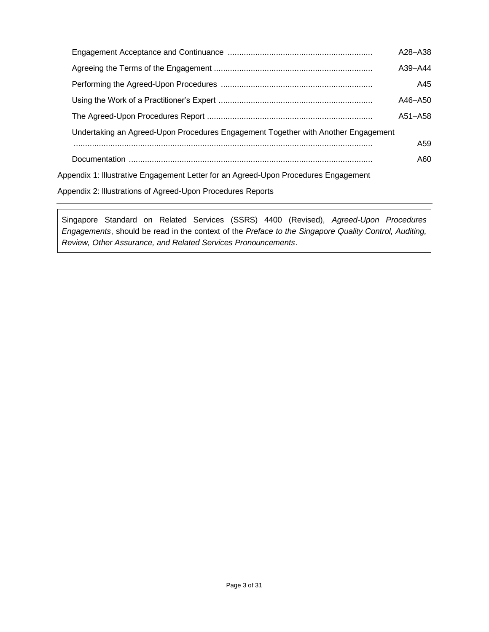|                                                                                     | A28-A38         |
|-------------------------------------------------------------------------------------|-----------------|
|                                                                                     | $A39 - A44$     |
|                                                                                     | A45             |
|                                                                                     | A46-A50         |
|                                                                                     | A51-A58         |
| Undertaking an Agreed-Upon Procedures Engagement Together with Another Engagement   |                 |
|                                                                                     | A <sub>59</sub> |
|                                                                                     | A60             |
| Appendix 1: Illustrative Engagement Letter for an Agreed-Upon Procedures Engagement |                 |
|                                                                                     |                 |

[Appendix 2: lllustrations of Agreed-Upon Procedures Reports](#page-25-0)

Singapore Standard on Related Services (SSRS) 4400 (Revised), *Agreed-Upon Procedures Engagements*, should be read in the context of the *Preface to the Singapore Quality Control, Auditing, Review, Other Assurance, and Related Services Pronouncements*.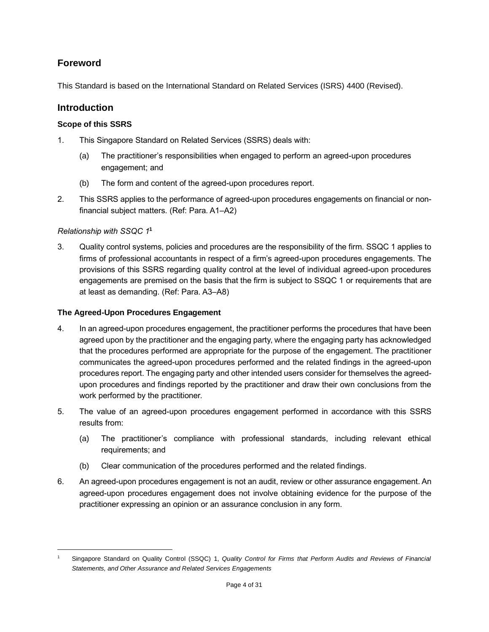# **Foreword**

This Standard is based on the International Standard on Related Services (ISRS) 4400 (Revised).

# **Introduction**

## <span id="page-3-0"></span>**Scope of this SSRS**

- 1. This Singapore Standard on Related Services (SSRS) deals with:
	- (a) The practitioner's responsibilities when engaged to perform an agreed-upon procedures engagement; and
	- (b) The form and content of the agreed-upon procedures report.
- 2. This SSRS applies to the performance of agreed-upon procedures engagements on financial or nonfinancial subject matters. (Ref: Para. A1–A2)

## *Relationship with SSQC 1* **1**

3. Quality control systems, policies and procedures are the responsibility of the firm. SSQC 1 applies to firms of professional accountants in respect of a firm's agreed-upon procedures engagements. The provisions of this SSRS regarding quality control at the level of individual agreed-upon procedures engagements are premised on the basis that the firm is subject to SSQC 1 or requirements that are at least as demanding. (Ref: Para. A3–A8)

## <span id="page-3-1"></span>**The Agreed-Upon Procedures Engagement**

- 4. In an agreed-upon procedures engagement, the practitioner performs the procedures that have been agreed upon by the practitioner and the engaging party, where the engaging party has acknowledged that the procedures performed are appropriate for the purpose of the engagement. The practitioner communicates the agreed-upon procedures performed and the related findings in the agreed-upon procedures report. The engaging party and other intended users consider for themselves the agreedupon procedures and findings reported by the practitioner and draw their own conclusions from the work performed by the practitioner.
- 5. The value of an agreed-upon procedures engagement performed in accordance with this SSRS results from:
	- (a) The practitioner's compliance with professional standards, including relevant ethical requirements; and
	- (b) Clear communication of the procedures performed and the related findings.
- <span id="page-3-2"></span>6. An agreed-upon procedures engagement is not an audit, review or other assurance engagement. An agreed-upon procedures engagement does not involve obtaining evidence for the purpose of the practitioner expressing an opinion or an assurance conclusion in any form.

<sup>1</sup> Singapore Standard on Quality Control (SSQC) 1, *Quality Control for Firms that Perform Audits and Reviews of Financial Statements, and Other Assurance and Related Services Engagements*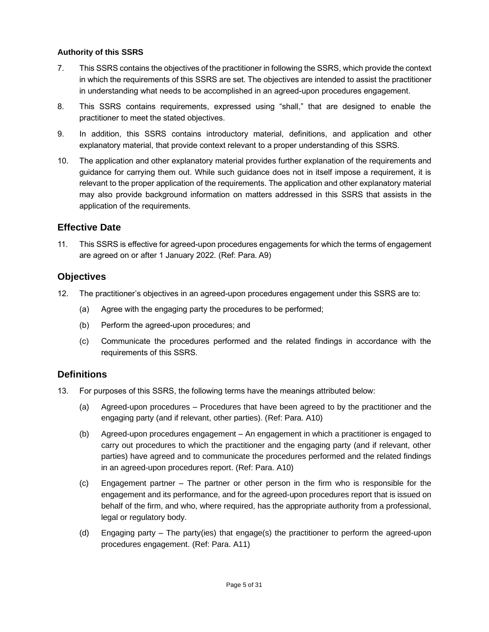#### **Authority of this SSRS**

- 7. This SSRS contains the objectives of the practitioner in following the SSRS, which provide the context in which the requirements of this SSRS are set. The objectives are intended to assist the practitioner in understanding what needs to be accomplished in an agreed-upon procedures engagement.
- 8. This SSRS contains requirements, expressed using "shall," that are designed to enable the practitioner to meet the stated objectives.
- 9. In addition, this SSRS contains introductory material, definitions, and application and other explanatory material, that provide context relevant to a proper understanding of this SSRS.
- 10. The application and other explanatory material provides further explanation of the requirements and guidance for carrying them out. While such guidance does not in itself impose a requirement, it is relevant to the proper application of the requirements. The application and other explanatory material may also provide background information on matters addressed in this SSRS that assists in the application of the requirements.

## <span id="page-4-0"></span>**Effective Date**

11. This SSRS is effective for agreed-upon procedures engagements for which the terms of engagement are agreed on or after 1 January 2022. (Ref: Para. A9)

## <span id="page-4-1"></span>**Objectives**

- 12. The practitioner's objectives in an agreed-upon procedures engagement under this SSRS are to:
	- (a) Agree with the engaging party the procedures to be performed;
	- (b) Perform the agreed-upon procedures; and
	- (c) Communicate the procedures performed and the related findings in accordance with the requirements of this SSRS.

# <span id="page-4-2"></span>**Definitions**

- 13. For purposes of this SSRS, the following terms have the meanings attributed below:
	- (a) Agreed-upon procedures Procedures that have been agreed to by the practitioner and the engaging party (and if relevant, other parties). (Ref: Para. A10)
	- (b) Agreed-upon procedures engagement An engagement in which a practitioner is engaged to carry out procedures to which the practitioner and the engaging party (and if relevant, other parties) have agreed and to communicate the procedures performed and the related findings in an agreed-upon procedures report. (Ref: Para. A10)
	- (c) Engagement partner The partner or other person in the firm who is responsible for the engagement and its performance, and for the agreed-upon procedures report that is issued on behalf of the firm, and who, where required, has the appropriate authority from a professional, legal or regulatory body.
	- (d) Engaging party The party(ies) that engage(s) the practitioner to perform the agreed-upon procedures engagement. (Ref: Para. A11)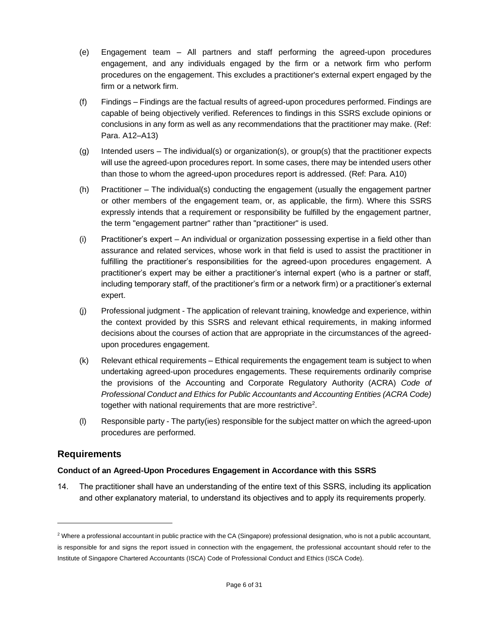- (e) Engagement team All partners and staff performing the agreed-upon procedures engagement, and any individuals engaged by the firm or a network firm who perform procedures on the engagement. This excludes a practitioner's external expert engaged by the firm or a network firm.
- (f) Findings Findings are the factual results of agreed-upon procedures performed. Findings are capable of being objectively verified. References to findings in this SSRS exclude opinions or conclusions in any form as well as any recommendations that the practitioner may make. (Ref: Para. A12–A13)
- (g) Intended users The individual(s) or organization(s), or group(s) that the practitioner expects will use the agreed-upon procedures report. In some cases, there may be intended users other than those to whom the agreed-upon procedures report is addressed. (Ref: Para. A10)
- (h) Practitioner The individual(s) conducting the engagement (usually the engagement partner or other members of the engagement team, or, as applicable, the firm). Where this SSRS expressly intends that a requirement or responsibility be fulfilled by the engagement partner, the term "engagement partner" rather than "practitioner" is used.
- (i) Practitioner's expert An individual or organization possessing expertise in a field other than assurance and related services, whose work in that field is used to assist the practitioner in fulfilling the practitioner's responsibilities for the agreed-upon procedures engagement. A practitioner's expert may be either a practitioner's internal expert (who is a partner or staff, including temporary staff, of the practitioner's firm or a network firm) or a practitioner's external expert.
- (j) Professional judgment The application of relevant training, knowledge and experience, within the context provided by this SSRS and relevant ethical requirements, in making informed decisions about the courses of action that are appropriate in the circumstances of the agreedupon procedures engagement.
- (k) Relevant ethical requirements Ethical requirements the engagement team is subject to when undertaking agreed-upon procedures engagements. These requirements ordinarily comprise the provisions of the Accounting and Corporate Regulatory Authority (ACRA) *Code of Professional Conduct and Ethics for Public Accountants and Accounting Entities (ACRA Code)* together with national requirements that are more restrictive<sup>2</sup>.
- (l) Responsible party The party(ies) responsible for the subject matter on which the agreed-upon procedures are performed.

# **Requirements**

## <span id="page-5-0"></span>**Conduct of an Agreed-Upon Procedures Engagement in Accordance with this SSRS**

14. The practitioner shall have an understanding of the entire text of this SSRS, including its application and other explanatory material, to understand its objectives and to apply its requirements properly.

<sup>&</sup>lt;sup>2</sup> Where a professional accountant in public practice with the CA (Singapore) professional designation, who is not a public accountant, is responsible for and signs the report issued in connection with the engagement, the professional accountant should refer to the Institute of Singapore Chartered Accountants (ISCA) Code of Professional Conduct and Ethics (ISCA Code).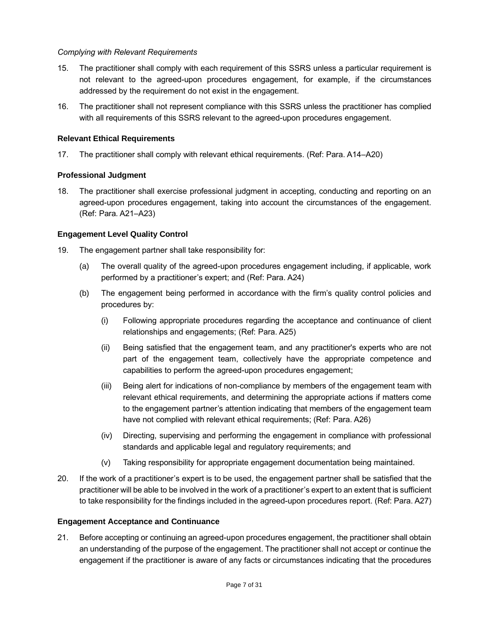#### *Complying with Relevant Requirements*

- 15. The practitioner shall comply with each requirement of this SSRS unless a particular requirement is not relevant to the agreed-upon procedures engagement, for example, if the circumstances addressed by the requirement do not exist in the engagement.
- 16. The practitioner shall not represent compliance with this SSRS unless the practitioner has complied with all requirements of this SSRS relevant to the agreed-upon procedures engagement.

## <span id="page-6-0"></span>**Relevant Ethical Requirements**

<span id="page-6-1"></span>17. The practitioner shall comply with relevant ethical requirements. (Ref: Para. A14–A20)

## **Professional Judgment**

18. The practitioner shall exercise professional judgment in accepting, conducting and reporting on an agreed-upon procedures engagement, taking into account the circumstances of the engagement. (Ref: Para. A21–A23)

## <span id="page-6-2"></span>**Engagement Level Quality Control**

- 19. The engagement partner shall take responsibility for:
	- (a) The overall quality of the agreed-upon procedures engagement including, if applicable, work performed by a practitioner's expert; and (Ref: Para. A24)
	- (b) The engagement being performed in accordance with the firm's quality control policies and procedures by:
		- (i) Following appropriate procedures regarding the acceptance and continuance of client relationships and engagements; (Ref: Para. A25)
		- (ii) Being satisfied that the engagement team, and any practitioner's experts who are not part of the engagement team, collectively have the appropriate competence and capabilities to perform the agreed-upon procedures engagement;
		- (iii) Being alert for indications of non-compliance by members of the engagement team with relevant ethical requirements, and determining the appropriate actions if matters come to the engagement partner's attention indicating that members of the engagement team have not complied with relevant ethical requirements; (Ref: Para. A26)
		- (iv) Directing, supervising and performing the engagement in compliance with professional standards and applicable legal and regulatory requirements; and
		- (v) Taking responsibility for appropriate engagement documentation being maintained.
- 20. If the work of a practitioner's expert is to be used, the engagement partner shall be satisfied that the practitioner will be able to be involved in the work of a practitioner's expert to an extent that is sufficient to take responsibility for the findings included in the agreed-upon procedures report. (Ref: Para. A27)

#### <span id="page-6-3"></span>**Engagement Acceptance and Continuance**

21. Before accepting or continuing an agreed-upon procedures engagement, the practitioner shall obtain an understanding of the purpose of the engagement. The practitioner shall not accept or continue the engagement if the practitioner is aware of any facts or circumstances indicating that the procedures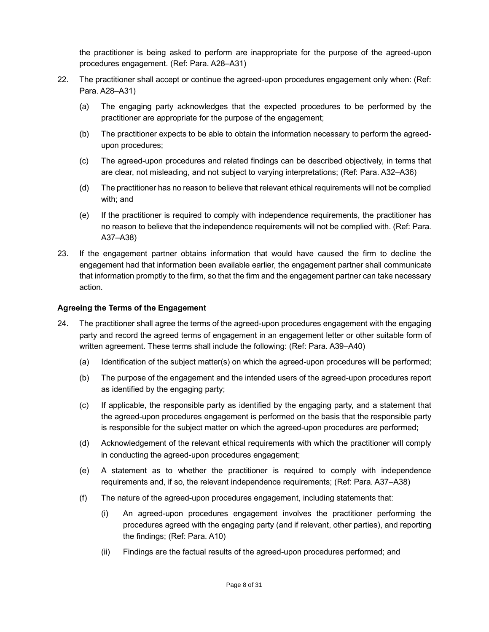the practitioner is being asked to perform are inappropriate for the purpose of the agreed-upon procedures engagement. (Ref: Para. A28–A31)

- 22. The practitioner shall accept or continue the agreed-upon procedures engagement only when: (Ref: Para. A28–A31)
	- (a) The engaging party acknowledges that the expected procedures to be performed by the practitioner are appropriate for the purpose of the engagement;
	- (b) The practitioner expects to be able to obtain the information necessary to perform the agreedupon procedures;
	- (c) The agreed-upon procedures and related findings can be described objectively, in terms that are clear, not misleading, and not subject to varying interpretations; (Ref: Para. A32–A36)
	- (d) The practitioner has no reason to believe that relevant ethical requirements will not be complied with; and
	- (e) If the practitioner is required to comply with independence requirements, the practitioner has no reason to believe that the independence requirements will not be complied with. (Ref: Para. A37–A38)
- <span id="page-7-0"></span>23. If the engagement partner obtains information that would have caused the firm to decline the engagement had that information been available earlier, the engagement partner shall communicate that information promptly to the firm, so that the firm and the engagement partner can take necessary action.

## **Agreeing the Terms of the Engagement**

- 24. The practitioner shall agree the terms of the agreed-upon procedures engagement with the engaging party and record the agreed terms of engagement in an engagement letter or other suitable form of written agreement. These terms shall include the following: (Ref: Para. A39–A40)
	- (a) Identification of the subject matter(s) on which the agreed-upon procedures will be performed;
	- (b) The purpose of the engagement and the intended users of the agreed-upon procedures report as identified by the engaging party;
	- (c) If applicable, the responsible party as identified by the engaging party, and a statement that the agreed-upon procedures engagement is performed on the basis that the responsible party is responsible for the subject matter on which the agreed-upon procedures are performed;
	- (d) Acknowledgement of the relevant ethical requirements with which the practitioner will comply in conducting the agreed-upon procedures engagement;
	- (e) A statement as to whether the practitioner is required to comply with independence requirements and, if so, the relevant independence requirements; (Ref: Para. A37–A38)
	- (f) The nature of the agreed-upon procedures engagement, including statements that:
		- (i) An agreed-upon procedures engagement involves the practitioner performing the procedures agreed with the engaging party (and if relevant, other parties), and reporting the findings; (Ref: Para. A10)
		- (ii) Findings are the factual results of the agreed-upon procedures performed; and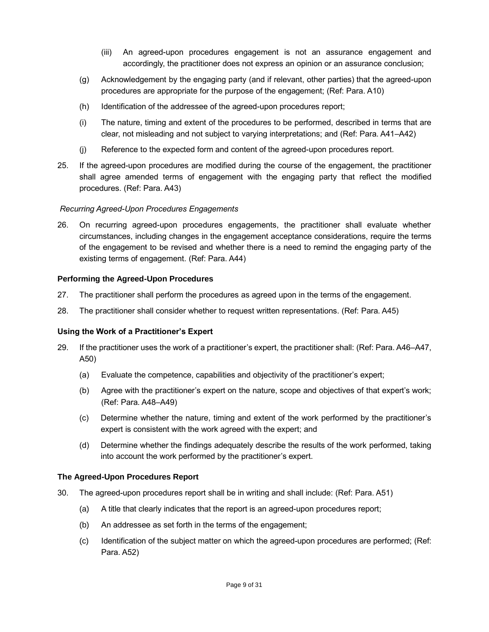- (iii) An agreed-upon procedures engagement is not an assurance engagement and accordingly, the practitioner does not express an opinion or an assurance conclusion;
- (g) Acknowledgement by the engaging party (and if relevant, other parties) that the agreed-upon procedures are appropriate for the purpose of the engagement; (Ref: Para. A10)
- (h) Identification of the addressee of the agreed-upon procedures report;
- (i) The nature, timing and extent of the procedures to be performed, described in terms that are clear, not misleading and not subject to varying interpretations; and (Ref: Para. A41–A42)
- (j) Reference to the expected form and content of the agreed-upon procedures report.
- 25. If the agreed-upon procedures are modified during the course of the engagement, the practitioner shall agree amended terms of engagement with the engaging party that reflect the modified procedures. (Ref: Para. A43)

## *Recurring Agreed-Upon Procedures Engagements*

26. On recurring agreed-upon procedures engagements, the practitioner shall evaluate whether circumstances, including changes in the engagement acceptance considerations, require the terms of the engagement to be revised and whether there is a need to remind the engaging party of the existing terms of engagement. (Ref: Para. A44)

#### <span id="page-8-0"></span>**Performing the Agreed-Upon Procedures**

- 27. The practitioner shall perform the procedures as agreed upon in the terms of the engagement.
- <span id="page-8-1"></span>28. The practitioner shall consider whether to request written representations. (Ref: Para. A45)

#### **Using the Work of a Practitioner's Expert**

- 29. If the practitioner uses the work of a practitioner's expert, the practitioner shall: (Ref: Para. A46–A47, A50)
	- (a) Evaluate the competence, capabilities and objectivity of the practitioner's expert;
	- (b) Agree with the practitioner's expert on the nature, scope and objectives of that expert's work; (Ref: Para. A48–A49)
	- (c) Determine whether the nature, timing and extent of the work performed by the practitioner's expert is consistent with the work agreed with the expert; and
	- (d) Determine whether the findings adequately describe the results of the work performed, taking into account the work performed by the practitioner's expert.

#### <span id="page-8-2"></span>**The Agreed-Upon Procedures Report**

- 30. The agreed-upon procedures report shall be in writing and shall include: (Ref: Para. A51)
	- (a) A title that clearly indicates that the report is an agreed-upon procedures report;
	- (b) An addressee as set forth in the terms of the engagement;
	- (c) Identification of the subject matter on which the agreed-upon procedures are performed; (Ref: Para. A52)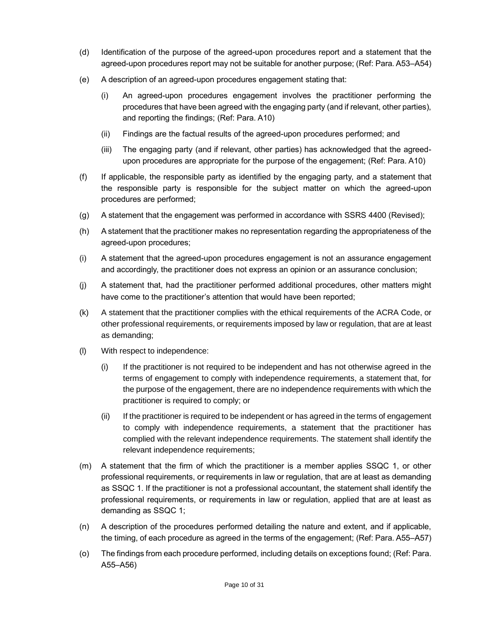- (d) Identification of the purpose of the agreed-upon procedures report and a statement that the agreed-upon procedures report may not be suitable for another purpose; (Ref: Para. A53–A54)
- (e) A description of an agreed-upon procedures engagement stating that:
	- (i) An agreed-upon procedures engagement involves the practitioner performing the procedures that have been agreed with the engaging party (and if relevant, other parties), and reporting the findings; (Ref: Para. A10)
	- (ii) Findings are the factual results of the agreed-upon procedures performed; and
	- (iii) The engaging party (and if relevant, other parties) has acknowledged that the agreedupon procedures are appropriate for the purpose of the engagement; (Ref: Para. A10)
- (f) If applicable, the responsible party as identified by the engaging party, and a statement that the responsible party is responsible for the subject matter on which the agreed-upon procedures are performed;
- (g) A statement that the engagement was performed in accordance with SSRS 4400 (Revised);
- (h) A statement that the practitioner makes no representation regarding the appropriateness of the agreed-upon procedures;
- (i) A statement that the agreed-upon procedures engagement is not an assurance engagement and accordingly, the practitioner does not express an opinion or an assurance conclusion;
- (j) A statement that, had the practitioner performed additional procedures, other matters might have come to the practitioner's attention that would have been reported;
- (k) A statement that the practitioner complies with the ethical requirements of the ACRA Code, or other professional requirements, or requirements imposed by law or regulation, that are at least as demanding;
- (l) With respect to independence:
	- (i) If the practitioner is not required to be independent and has not otherwise agreed in the terms of engagement to comply with independence requirements, a statement that, for the purpose of the engagement, there are no independence requirements with which the practitioner is required to comply; or
	- (ii) If the practitioner is required to be independent or has agreed in the terms of engagement to comply with independence requirements, a statement that the practitioner has complied with the relevant independence requirements. The statement shall identify the relevant independence requirements;
- (m) A statement that the firm of which the practitioner is a member applies SSQC 1, or other professional requirements, or requirements in law or regulation, that are at least as demanding as SSQC 1. If the practitioner is not a professional accountant, the statement shall identify the professional requirements, or requirements in law or regulation, applied that are at least as demanding as SSQC 1;
- (n) A description of the procedures performed detailing the nature and extent, and if applicable, the timing, of each procedure as agreed in the terms of the engagement; (Ref: Para. A55–A57)
- (o) The findings from each procedure performed, including details on exceptions found; (Ref: Para. A55–A56)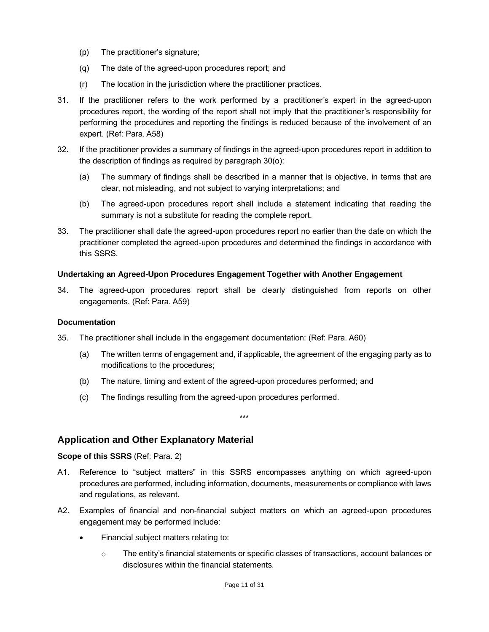- (p) The practitioner's signature;
- (q) The date of the agreed-upon procedures report; and
- (r) The location in the jurisdiction where the practitioner practices.
- 31. If the practitioner refers to the work performed by a practitioner's expert in the agreed-upon procedures report, the wording of the report shall not imply that the practitioner's responsibility for performing the procedures and reporting the findings is reduced because of the involvement of an expert. (Ref: Para. A58)
- 32. If the practitioner provides a summary of findings in the agreed-upon procedures report in addition to the description of findings as required by paragraph 30(o):
	- (a) The summary of findings shall be described in a manner that is objective, in terms that are clear, not misleading, and not subject to varying interpretations; and
	- (b) The agreed-upon procedures report shall include a statement indicating that reading the summary is not a substitute for reading the complete report.
- 33. The practitioner shall date the agreed-upon procedures report no earlier than the date on which the practitioner completed the agreed-upon procedures and determined the findings in accordance with this SSRS.

#### <span id="page-10-0"></span>**Undertaking an Agreed-Upon Procedures Engagement Together with Another Engagement**

34. The agreed-upon procedures report shall be clearly distinguished from reports on other engagements. (Ref: Para. A59)

#### <span id="page-10-1"></span>**Documentation**

- 35. The practitioner shall include in the engagement documentation: (Ref: Para. A60)
	- (a) The written terms of engagement and, if applicable, the agreement of the engaging party as to modifications to the procedures;
	- (b) The nature, timing and extent of the agreed-upon procedures performed; and
	- (c) The findings resulting from the agreed-upon procedures performed.

# **Application and Other Explanatory Material**

#### <span id="page-10-2"></span>**Scope of this SSRS** (Ref: Para. 2)

A1. Reference to "subject matters" in this SSRS encompasses anything on which agreed-upon procedures are performed, including information, documents, measurements or compliance with laws and regulations, as relevant.

\*\*\*

- A2. Examples of financial and non-financial subject matters on which an agreed-upon procedures engagement may be performed include:
	- Financial subject matters relating to:
		- o The entity's financial statements or specific classes of transactions, account balances or disclosures within the financial statements.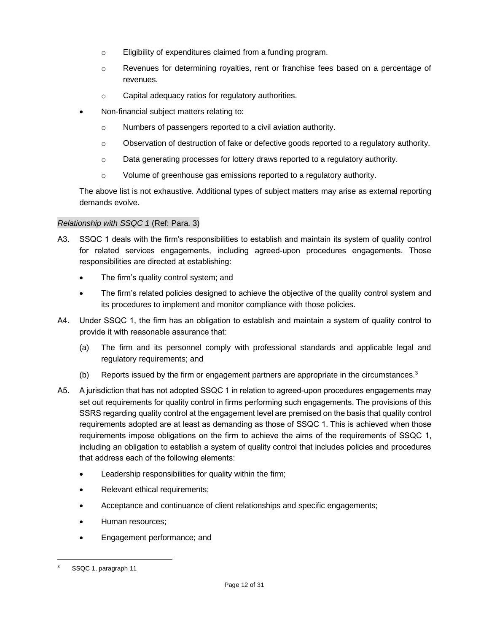- o Eligibility of expenditures claimed from a funding program.
- o Revenues for determining royalties, rent or franchise fees based on a percentage of revenues.
- o Capital adequacy ratios for regulatory authorities.
- Non-financial subject matters relating to:
	- o Numbers of passengers reported to a civil aviation authority.
	- $\circ$  Observation of destruction of fake or defective goods reported to a regulatory authority.
	- $\circ$  Data generating processes for lottery draws reported to a regulatory authority.
	- o Volume of greenhouse gas emissions reported to a regulatory authority.

The above list is not exhaustive. Additional types of subject matters may arise as external reporting demands evolve.

#### *Relationship with SSQC 1* (Ref: Para. 3)

- A3. SSQC 1 deals with the firm's responsibilities to establish and maintain its system of quality control for related services engagements, including agreed-upon procedures engagements. Those responsibilities are directed at establishing:
	- The firm's quality control system; and
	- The firm's related policies designed to achieve the objective of the quality control system and its procedures to implement and monitor compliance with those policies.
- A4. Under SSQC 1, the firm has an obligation to establish and maintain a system of quality control to provide it with reasonable assurance that:
	- (a) The firm and its personnel comply with professional standards and applicable legal and regulatory requirements; and
	- (b) Reports issued by the firm or engagement partners are appropriate in the circumstances.<sup>3</sup>
- A5. A jurisdiction that has not adopted SSQC 1 in relation to agreed-upon procedures engagements may set out requirements for quality control in firms performing such engagements. The provisions of this SSRS regarding quality control at the engagement level are premised on the basis that quality control requirements adopted are at least as demanding as those of SSQC 1. This is achieved when those requirements impose obligations on the firm to achieve the aims of the requirements of SSQC 1, including an obligation to establish a system of quality control that includes policies and procedures that address each of the following elements:
	- Leadership responsibilities for quality within the firm;
	- Relevant ethical requirements;
	- Acceptance and continuance of client relationships and specific engagements;
	- Human resources;
	- Engagement performance; and

<sup>3</sup> SSQC 1, paragraph 11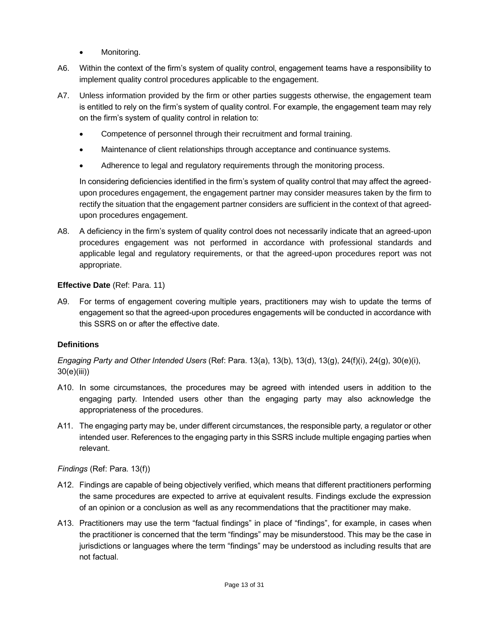- Monitoring.
- A6. Within the context of the firm's system of quality control, engagement teams have a responsibility to implement quality control procedures applicable to the engagement.
- A7. Unless information provided by the firm or other parties suggests otherwise, the engagement team is entitled to rely on the firm's system of quality control. For example, the engagement team may rely on the firm's system of quality control in relation to:
	- Competence of personnel through their recruitment and formal training.
	- Maintenance of client relationships through acceptance and continuance systems.
	- Adherence to legal and regulatory requirements through the monitoring process.

In considering deficiencies identified in the firm's system of quality control that may affect the agreedupon procedures engagement, the engagement partner may consider measures taken by the firm to rectify the situation that the engagement partner considers are sufficient in the context of that agreedupon procedures engagement.

A8. A deficiency in the firm's system of quality control does not necessarily indicate that an agreed-upon procedures engagement was not performed in accordance with professional standards and applicable legal and regulatory requirements, or that the agreed-upon procedures report was not appropriate.

## **Effective Date** (Ref: Para. 11)

A9. For terms of engagement covering multiple years, practitioners may wish to update the terms of engagement so that the agreed-upon procedures engagements will be conducted in accordance with this SSRS on or after the effective date.

## <span id="page-12-0"></span>**Definitions**

*Engaging Party and Other Intended Users* (Ref: Para. 13(a), 13(b), 13(d), 13(g), 24(f)(i), 24(g), 30(e)(i), 30(e)(iii))

- A10. In some circumstances, the procedures may be agreed with intended users in addition to the engaging party. Intended users other than the engaging party may also acknowledge the appropriateness of the procedures.
- A11. The engaging party may be, under different circumstances, the responsible party, a regulator or other intended user. References to the engaging party in this SSRS include multiple engaging parties when relevant.

## *Findings* (Ref: Para. 13(f))

- A12. Findings are capable of being objectively verified, which means that different practitioners performing the same procedures are expected to arrive at equivalent results. Findings exclude the expression of an opinion or a conclusion as well as any recommendations that the practitioner may make.
- A13. Practitioners may use the term "factual findings" in place of "findings", for example, in cases when the practitioner is concerned that the term "findings" may be misunderstood. This may be the case in jurisdictions or languages where the term "findings" may be understood as including results that are not factual.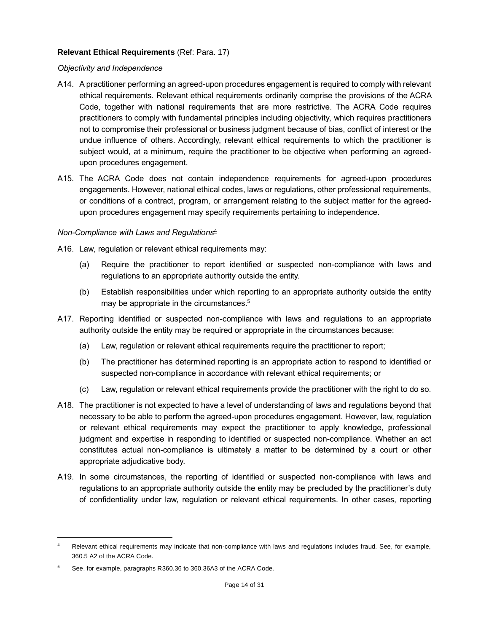#### <span id="page-13-0"></span>**Relevant Ethical Requirements** (Ref: Para. 17)

#### *Objectivity and Independence*

- A14. A practitioner performing an agreed-upon procedures engagement is required to comply with relevant ethical requirements. Relevant ethical requirements ordinarily comprise the provisions of the ACRA Code, together with national requirements that are more restrictive. The ACRA Code requires practitioners to comply with fundamental principles including objectivity, which requires practitioners not to compromise their professional or business judgment because of bias, conflict of interest or the undue influence of others. Accordingly, relevant ethical requirements to which the practitioner is subject would, at a minimum, require the practitioner to be objective when performing an agreedupon procedures engagement.
- A15. The ACRA Code does not contain independence requirements for agreed-upon procedures engagements. However, national ethical codes, laws or regulations, other professional requirements, or conditions of a contract, program, or arrangement relating to the subject matter for the agreedupon procedures engagement may specify requirements pertaining to independence.

#### *Non-Compliance with Laws and Regulations*<sup>4</sup>

- A16. Law, regulation or relevant ethical requirements may:
	- (a) Require the practitioner to report identified or suspected non-compliance with laws and regulations to an appropriate authority outside the entity.
	- (b) Establish responsibilities under which reporting to an appropriate authority outside the entity may be appropriate in the circumstances.<sup>5</sup>
- A17. Reporting identified or suspected non-compliance with laws and regulations to an appropriate authority outside the entity may be required or appropriate in the circumstances because:
	- (a) Law, regulation or relevant ethical requirements require the practitioner to report;
	- (b) The practitioner has determined reporting is an appropriate action to respond to identified or suspected non-compliance in accordance with relevant ethical requirements; or
	- (c) Law, regulation or relevant ethical requirements provide the practitioner with the right to do so.
- A18. The practitioner is not expected to have a level of understanding of laws and regulations beyond that necessary to be able to perform the agreed-upon procedures engagement. However, law, regulation or relevant ethical requirements may expect the practitioner to apply knowledge, professional judgment and expertise in responding to identified or suspected non-compliance. Whether an act constitutes actual non-compliance is ultimately a matter to be determined by a court or other appropriate adjudicative body.
- A19. In some circumstances, the reporting of identified or suspected non-compliance with laws and regulations to an appropriate authority outside the entity may be precluded by the practitioner's duty of confidentiality under law, regulation or relevant ethical requirements. In other cases, reporting

Relevant ethical requirements may indicate that non-compliance with laws and regulations includes fraud. See, for example, 360.5 A2 of the ACRA Code.

<sup>5</sup> See, for example, paragraphs R360.36 to 360.36A3 of the ACRA Code.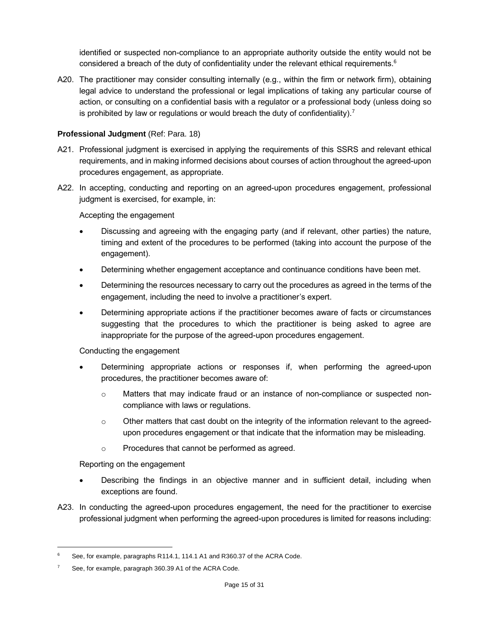identified or suspected non-compliance to an appropriate authority outside the entity would not be considered a breach of the duty of confidentiality under the relevant ethical requirements.<sup>6</sup>

A20. The practitioner may consider consulting internally (e.g., within the firm or network firm), obtaining legal advice to understand the professional or legal implications of taking any particular course of action, or consulting on a confidential basis with a regulator or a professional body (unless doing so is prohibited by law or regulations or would breach the duty of confidentiality).<sup>7</sup>

#### <span id="page-14-0"></span>**Professional Judgment** (Ref: Para. 18)

- A21. Professional judgment is exercised in applying the requirements of this SSRS and relevant ethical requirements, and in making informed decisions about courses of action throughout the agreed-upon procedures engagement, as appropriate.
- A22. In accepting, conducting and reporting on an agreed-upon procedures engagement, professional judgment is exercised, for example, in:

Accepting the engagement

- Discussing and agreeing with the engaging party (and if relevant, other parties) the nature, timing and extent of the procedures to be performed (taking into account the purpose of the engagement).
- Determining whether engagement acceptance and continuance conditions have been met.
- Determining the resources necessary to carry out the procedures as agreed in the terms of the engagement, including the need to involve a practitioner's expert.
- Determining appropriate actions if the practitioner becomes aware of facts or circumstances suggesting that the procedures to which the practitioner is being asked to agree are inappropriate for the purpose of the agreed-upon procedures engagement.

Conducting the engagement

- Determining appropriate actions or responses if, when performing the agreed-upon procedures, the practitioner becomes aware of:
	- o Matters that may indicate fraud or an instance of non-compliance or suspected noncompliance with laws or regulations.
	- $\circ$  Other matters that cast doubt on the integrity of the information relevant to the agreedupon procedures engagement or that indicate that the information may be misleading.
	- o Procedures that cannot be performed as agreed.

Reporting on the engagement

- Describing the findings in an objective manner and in sufficient detail, including when exceptions are found.
- A23. In conducting the agreed-upon procedures engagement, the need for the practitioner to exercise professional judgment when performing the agreed-upon procedures is limited for reasons including:

See, for example, paragraphs R114.1, 114.1 A1 and R360.37 of the ACRA Code.

 $7^7$  See, for example, paragraph 360.39 A1 of the ACRA Code.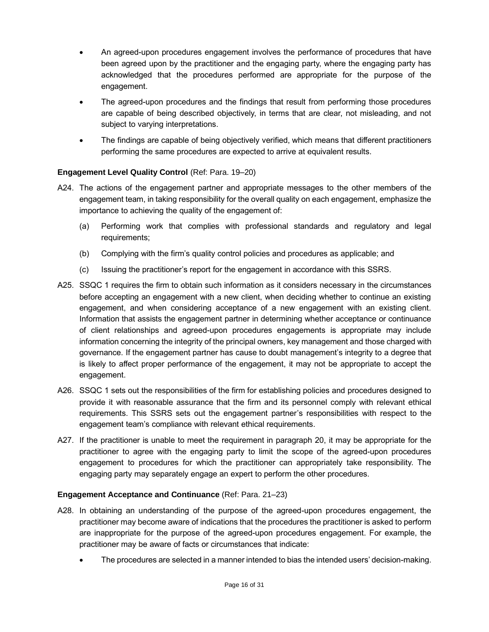- An agreed-upon procedures engagement involves the performance of procedures that have been agreed upon by the practitioner and the engaging party, where the engaging party has acknowledged that the procedures performed are appropriate for the purpose of the engagement.
- The agreed-upon procedures and the findings that result from performing those procedures are capable of being described objectively, in terms that are clear, not misleading, and not subject to varying interpretations.
- The findings are capable of being objectively verified, which means that different practitioners performing the same procedures are expected to arrive at equivalent results.

## <span id="page-15-0"></span>**Engagement Level Quality Control** (Ref: Para. 19–20)

- A24. The actions of the engagement partner and appropriate messages to the other members of the engagement team, in taking responsibility for the overall quality on each engagement, emphasize the importance to achieving the quality of the engagement of:
	- (a) Performing work that complies with professional standards and regulatory and legal requirements;
	- (b) Complying with the firm's quality control policies and procedures as applicable; and
	- (c) Issuing the practitioner's report for the engagement in accordance with this SSRS.
- A25. SSQC 1 requires the firm to obtain such information as it considers necessary in the circumstances before accepting an engagement with a new client, when deciding whether to continue an existing engagement, and when considering acceptance of a new engagement with an existing client. Information that assists the engagement partner in determining whether acceptance or continuance of client relationships and agreed-upon procedures engagements is appropriate may include information concerning the integrity of the principal owners, key management and those charged with governance. If the engagement partner has cause to doubt management's integrity to a degree that is likely to affect proper performance of the engagement, it may not be appropriate to accept the engagement.
- A26. SSQC 1 sets out the responsibilities of the firm for establishing policies and procedures designed to provide it with reasonable assurance that the firm and its personnel comply with relevant ethical requirements. This SSRS sets out the engagement partner's responsibilities with respect to the engagement team's compliance with relevant ethical requirements.
- A27. If the practitioner is unable to meet the requirement in paragraph 20, it may be appropriate for the practitioner to agree with the engaging party to limit the scope of the agreed-upon procedures engagement to procedures for which the practitioner can appropriately take responsibility. The engaging party may separately engage an expert to perform the other procedures.

#### <span id="page-15-1"></span>**Engagement Acceptance and Continuance** (Ref: Para. 21–23)

- A28. In obtaining an understanding of the purpose of the agreed-upon procedures engagement, the practitioner may become aware of indications that the procedures the practitioner is asked to perform are inappropriate for the purpose of the agreed-upon procedures engagement. For example, the practitioner may be aware of facts or circumstances that indicate:
	- The procedures are selected in a manner intended to bias the intended users' decision-making.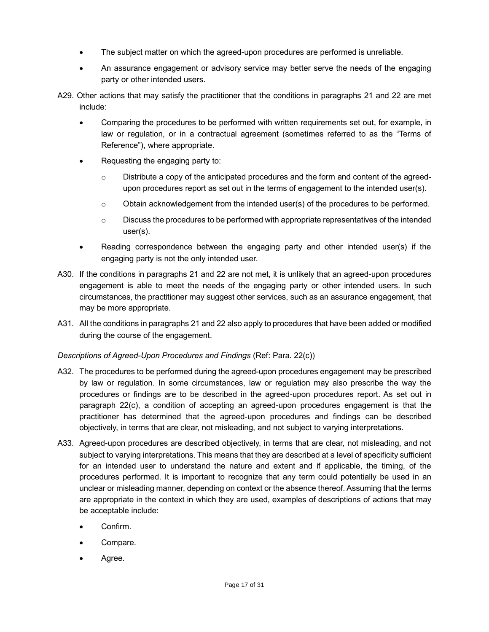- The subject matter on which the agreed-upon procedures are performed is unreliable.
- An assurance engagement or advisory service may better serve the needs of the engaging party or other intended users.
- A29. Other actions that may satisfy the practitioner that the conditions in paragraphs 21 and 22 are met include:
	- Comparing the procedures to be performed with written requirements set out, for example, in law or regulation, or in a contractual agreement (sometimes referred to as the "Terms of Reference"), where appropriate.
	- Requesting the engaging party to:
		- $\circ$  Distribute a copy of the anticipated procedures and the form and content of the agreedupon procedures report as set out in the terms of engagement to the intended user(s).
		- $\circ$  Obtain acknowledgement from the intended user(s) of the procedures to be performed.
		- $\circ$  Discuss the procedures to be performed with appropriate representatives of the intended user(s).
	- Reading correspondence between the engaging party and other intended user(s) if the engaging party is not the only intended user.
- A30. If the conditions in paragraphs 21 and 22 are not met, it is unlikely that an agreed-upon procedures engagement is able to meet the needs of the engaging party or other intended users. In such circumstances, the practitioner may suggest other services, such as an assurance engagement, that may be more appropriate.
- A31. All the conditions in paragraphs 21 and 22 also apply to procedures that have been added or modified during the course of the engagement.

## *Descriptions of Agreed-Upon Procedures and Findings* (Ref: Para. 22(c))

- A32. The procedures to be performed during the agreed-upon procedures engagement may be prescribed by law or regulation. In some circumstances, law or regulation may also prescribe the way the procedures or findings are to be described in the agreed-upon procedures report. As set out in paragraph 22(c), a condition of accepting an agreed-upon procedures engagement is that the practitioner has determined that the agreed-upon procedures and findings can be described objectively, in terms that are clear, not misleading, and not subject to varying interpretations.
- A33. Agreed-upon procedures are described objectively, in terms that are clear, not misleading, and not subject to varying interpretations. This means that they are described at a level of specificity sufficient for an intended user to understand the nature and extent and if applicable, the timing, of the procedures performed. It is important to recognize that any term could potentially be used in an unclear or misleading manner, depending on context or the absence thereof. Assuming that the terms are appropriate in the context in which they are used, examples of descriptions of actions that may be acceptable include:
	- Confirm.
	- Compare.
	- Agree.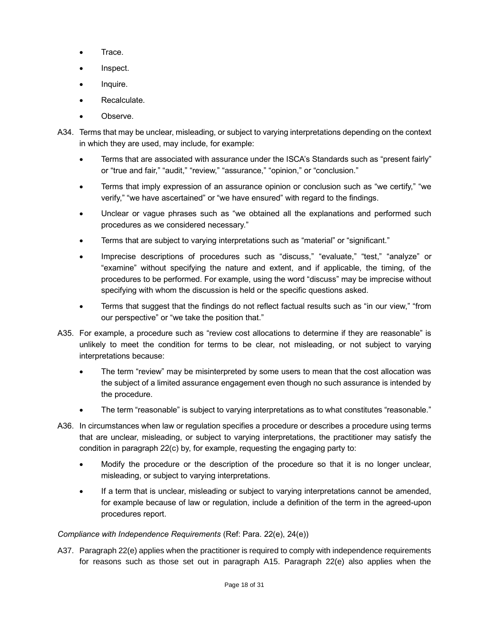- Trace.
- Inspect.
- Inquire.
- Recalculate.
- Observe.
- A34. Terms that may be unclear, misleading, or subject to varying interpretations depending on the context in which they are used, may include, for example:
	- Terms that are associated with assurance under the ISCA's Standards such as "present fairly" or "true and fair," "audit," "review," "assurance," "opinion," or "conclusion."
	- Terms that imply expression of an assurance opinion or conclusion such as "we certify," "we verify," "we have ascertained" or "we have ensured" with regard to the findings.
	- Unclear or vague phrases such as "we obtained all the explanations and performed such procedures as we considered necessary."
	- Terms that are subject to varying interpretations such as "material" or "significant."
	- Imprecise descriptions of procedures such as "discuss," "evaluate," "test," "analyze" or "examine" without specifying the nature and extent, and if applicable, the timing, of the procedures to be performed. For example, using the word "discuss" may be imprecise without specifying with whom the discussion is held or the specific questions asked.
	- Terms that suggest that the findings do not reflect factual results such as "in our view," "from our perspective" or "we take the position that."
- A35. For example, a procedure such as "review cost allocations to determine if they are reasonable" is unlikely to meet the condition for terms to be clear, not misleading, or not subject to varying interpretations because:
	- The term "review" may be misinterpreted by some users to mean that the cost allocation was the subject of a limited assurance engagement even though no such assurance is intended by the procedure.
	- The term "reasonable" is subject to varying interpretations as to what constitutes "reasonable."
- A36. In circumstances when law or regulation specifies a procedure or describes a procedure using terms that are unclear, misleading, or subject to varying interpretations, the practitioner may satisfy the condition in paragraph 22(c) by, for example, requesting the engaging party to:
	- Modify the procedure or the description of the procedure so that it is no longer unclear, misleading, or subject to varying interpretations.
	- If a term that is unclear, misleading or subject to varying interpretations cannot be amended, for example because of law or regulation, include a definition of the term in the agreed-upon procedures report.

## *Compliance with Independence Requirements* (Ref: Para. 22(e), 24(e))

A37. Paragraph 22(e) applies when the practitioner is required to comply with independence requirements for reasons such as those set out in paragraph A15. Paragraph 22(e) also applies when the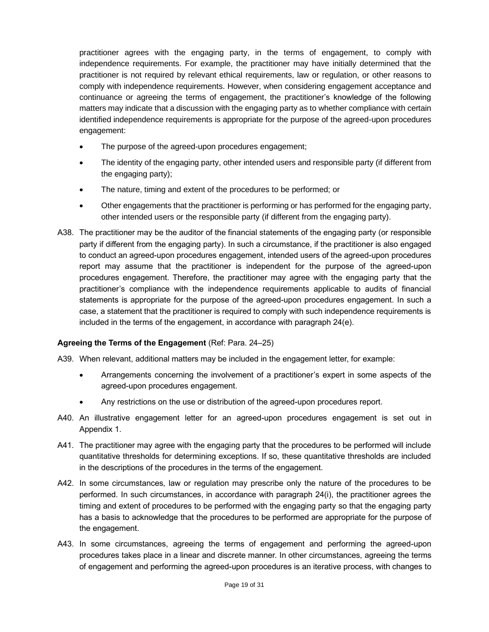practitioner agrees with the engaging party, in the terms of engagement, to comply with independence requirements. For example, the practitioner may have initially determined that the practitioner is not required by relevant ethical requirements, law or regulation, or other reasons to comply with independence requirements. However, when considering engagement acceptance and continuance or agreeing the terms of engagement, the practitioner's knowledge of the following matters may indicate that a discussion with the engaging party as to whether compliance with certain identified independence requirements is appropriate for the purpose of the agreed-upon procedures engagement:

- The purpose of the agreed-upon procedures engagement;
- The identity of the engaging party, other intended users and responsible party (if different from the engaging party);
- The nature, timing and extent of the procedures to be performed; or
- Other engagements that the practitioner is performing or has performed for the engaging party, other intended users or the responsible party (if different from the engaging party).
- A38. The practitioner may be the auditor of the financial statements of the engaging party (or responsible party if different from the engaging party). In such a circumstance, if the practitioner is also engaged to conduct an agreed-upon procedures engagement, intended users of the agreed-upon procedures report may assume that the practitioner is independent for the purpose of the agreed-upon procedures engagement. Therefore, the practitioner may agree with the engaging party that the practitioner's compliance with the independence requirements applicable to audits of financial statements is appropriate for the purpose of the agreed-upon procedures engagement. In such a case, a statement that the practitioner is required to comply with such independence requirements is included in the terms of the engagement, in accordance with paragraph 24(e).

#### <span id="page-18-0"></span>**Agreeing the Terms of the Engagement** (Ref: Para. 24–25)

A39. When relevant, additional matters may be included in the engagement letter, for example:

- Arrangements concerning the involvement of a practitioner's expert in some aspects of the agreed-upon procedures engagement.
- Any restrictions on the use or distribution of the agreed-upon procedures report.
- A40. An illustrative engagement letter for an agreed-upon procedures engagement is set out in Appendix 1.
- A41. The practitioner may agree with the engaging party that the procedures to be performed will include quantitative thresholds for determining exceptions. If so, these quantitative thresholds are included in the descriptions of the procedures in the terms of the engagement.
- A42. In some circumstances, law or regulation may prescribe only the nature of the procedures to be performed. In such circumstances, in accordance with paragraph 24(i), the practitioner agrees the timing and extent of procedures to be performed with the engaging party so that the engaging party has a basis to acknowledge that the procedures to be performed are appropriate for the purpose of the engagement.
- A43. In some circumstances, agreeing the terms of engagement and performing the agreed-upon procedures takes place in a linear and discrete manner. In other circumstances, agreeing the terms of engagement and performing the agreed-upon procedures is an iterative process, with changes to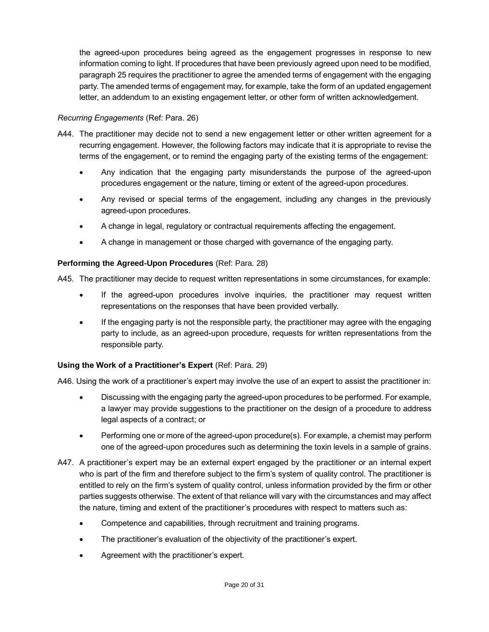the agreed-upon procedures being agreed as the engagement progresses in response to new information coming to light. If procedures that have been previously agreed upon need to be modified, paragraph 25 requires the practitioner to agree the amended terms of engagement with the engaging party. The amended terms of engagement may, for example, take the form of an updated engagement letter, an addendum to an existing engagement letter, or other form of written acknowledgement.

## *Recurring Engagements* (Ref: Para. 26)

- A44. The practitioner may decide not to send a new engagement letter or other written agreement for a recurring engagement. However, the following factors may indicate that it is appropriate to revise the terms of the engagement, or to remind the engaging party of the existing terms of the engagement:
	- Any indication that the engaging party misunderstands the purpose of the agreed-upon procedures engagement or the nature, timing or extent of the agreed-upon procedures.
	- Any revised or special terms of the engagement, including any changes in the previously agreed-upon procedures.
	- A change in legal, regulatory or contractual requirements affecting the engagement.
	- A change in management or those charged with governance of the engaging party.

## <span id="page-19-0"></span>**Performing the Agreed-Upon Procedures** (Ref: Para. 28)

A45. The practitioner may decide to request written representations in some circumstances, for example:

- If the agreed-upon procedures involve inquiries, the practitioner may request written representations on the responses that have been provided verbally.
- If the engaging party is not the responsible party, the practitioner may agree with the engaging party to include, as an agreed-upon procedure, requests for written representations from the responsible party.

#### <span id="page-19-1"></span>**Using the Work of a Practitioner's Expert** (Ref: Para. 29)

A46. Using the work of a practitioner's expert may involve the use of an expert to assist the practitioner in:

- Discussing with the engaging party the agreed-upon procedures to be performed. For example, a lawyer may provide suggestions to the practitioner on the design of a procedure to address legal aspects of a contract; or
- Performing one or more of the agreed-upon procedure(s). For example, a chemist may perform one of the agreed-upon procedures such as determining the toxin levels in a sample of grains.
- A47. A practitioner's expert may be an external expert engaged by the practitioner or an internal expert who is part of the firm and therefore subject to the firm's system of quality control. The practitioner is entitled to rely on the firm's system of quality control, unless information provided by the firm or other parties suggests otherwise. The extent of that reliance will vary with the circumstances and may affect the nature, timing and extent of the practitioner's procedures with respect to matters such as:
	- Competence and capabilities, through recruitment and training programs.
	- The practitioner's evaluation of the objectivity of the practitioner's expert.
	- Agreement with the practitioner's expert.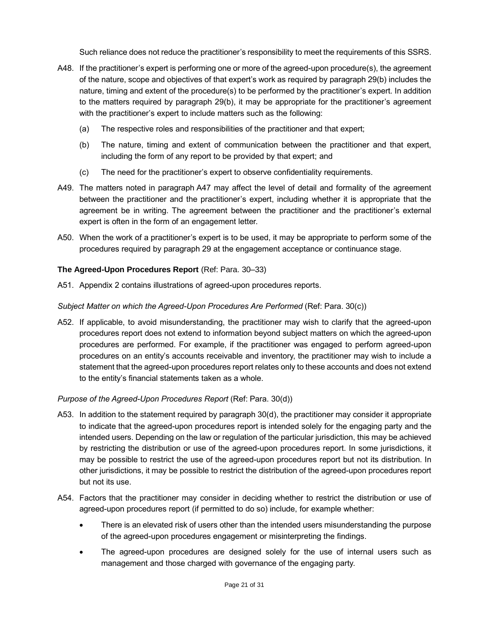Such reliance does not reduce the practitioner's responsibility to meet the requirements of this SSRS.

- A48. If the practitioner's expert is performing one or more of the agreed-upon procedure(s), the agreement of the nature, scope and objectives of that expert's work as required by paragraph 29(b) includes the nature, timing and extent of the procedure(s) to be performed by the practitioner's expert. In addition to the matters required by paragraph 29(b), it may be appropriate for the practitioner's agreement with the practitioner's expert to include matters such as the following:
	- (a) The respective roles and responsibilities of the practitioner and that expert;
	- (b) The nature, timing and extent of communication between the practitioner and that expert, including the form of any report to be provided by that expert; and
	- (c) The need for the practitioner's expert to observe confidentiality requirements.
- A49. The matters noted in paragraph A47 may affect the level of detail and formality of the agreement between the practitioner and the practitioner's expert, including whether it is appropriate that the agreement be in writing. The agreement between the practitioner and the practitioner's external expert is often in the form of an engagement letter.
- A50. When the work of a practitioner's expert is to be used, it may be appropriate to perform some of the procedures required by paragraph 29 at the engagement acceptance or continuance stage.

## <span id="page-20-0"></span>**The Agreed-Upon Procedures Report** (Ref: Para. 30–33)

A51. Appendix 2 contains illustrations of agreed-upon procedures reports.

#### *Subject Matter on which the Agreed-Upon Procedures Are Performed* (Ref: Para. 30(c))

A52. If applicable, to avoid misunderstanding, the practitioner may wish to clarify that the agreed-upon procedures report does not extend to information beyond subject matters on which the agreed-upon procedures are performed. For example, if the practitioner was engaged to perform agreed-upon procedures on an entity's accounts receivable and inventory, the practitioner may wish to include a statement that the agreed-upon procedures report relates only to these accounts and does not extend to the entity's financial statements taken as a whole.

#### *Purpose of the Agreed-Upon Procedures Report* (Ref: Para. 30(d))

- A53. In addition to the statement required by paragraph 30(d), the practitioner may consider it appropriate to indicate that the agreed-upon procedures report is intended solely for the engaging party and the intended users. Depending on the law or regulation of the particular jurisdiction, this may be achieved by restricting the distribution or use of the agreed-upon procedures report. In some jurisdictions, it may be possible to restrict the use of the agreed-upon procedures report but not its distribution. In other jurisdictions, it may be possible to restrict the distribution of the agreed-upon procedures report but not its use.
- A54. Factors that the practitioner may consider in deciding whether to restrict the distribution or use of agreed-upon procedures report (if permitted to do so) include, for example whether:
	- There is an elevated risk of users other than the intended users misunderstanding the purpose of the agreed-upon procedures engagement or misinterpreting the findings.
	- The agreed-upon procedures are designed solely for the use of internal users such as management and those charged with governance of the engaging party.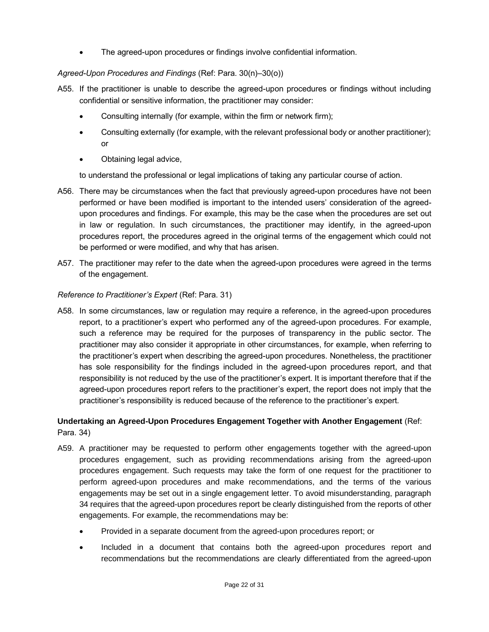• The agreed-upon procedures or findings involve confidential information.

## *Agreed-Upon Procedures and Findings* (Ref: Para. 30(n)–30(o))

- A55. If the practitioner is unable to describe the agreed-upon procedures or findings without including confidential or sensitive information, the practitioner may consider:
	- Consulting internally (for example, within the firm or network firm);
	- Consulting externally (for example, with the relevant professional body or another practitioner); or
	- Obtaining legal advice,

to understand the professional or legal implications of taking any particular course of action.

- A56. There may be circumstances when the fact that previously agreed-upon procedures have not been performed or have been modified is important to the intended users' consideration of the agreedupon procedures and findings. For example, this may be the case when the procedures are set out in law or regulation. In such circumstances, the practitioner may identify, in the agreed-upon procedures report, the procedures agreed in the original terms of the engagement which could not be performed or were modified, and why that has arisen.
- A57. The practitioner may refer to the date when the agreed-upon procedures were agreed in the terms of the engagement.

## *Reference to Practitioner's Expert* (Ref: Para. 31)

A58. In some circumstances, law or regulation may require a reference, in the agreed-upon procedures report, to a practitioner's expert who performed any of the agreed-upon procedures. For example, such a reference may be required for the purposes of transparency in the public sector. The practitioner may also consider it appropriate in other circumstances, for example, when referring to the practitioner's expert when describing the agreed-upon procedures. Nonetheless, the practitioner has sole responsibility for the findings included in the agreed-upon procedures report, and that responsibility is not reduced by the use of the practitioner's expert. It is important therefore that if the agreed-upon procedures report refers to the practitioner's expert, the report does not imply that the practitioner's responsibility is reduced because of the reference to the practitioner's expert.

## <span id="page-21-0"></span>**Undertaking an Agreed-Upon Procedures Engagement Together with Another Engagement** (Ref: Para. 34)

- A59. A practitioner may be requested to perform other engagements together with the agreed-upon procedures engagement, such as providing recommendations arising from the agreed-upon procedures engagement. Such requests may take the form of one request for the practitioner to perform agreed-upon procedures and make recommendations, and the terms of the various engagements may be set out in a single engagement letter. To avoid misunderstanding, paragraph 34 requires that the agreed-upon procedures report be clearly distinguished from the reports of other engagements. For example, the recommendations may be:
	- Provided in a separate document from the agreed-upon procedures report; or
	- Included in a document that contains both the agreed-upon procedures report and recommendations but the recommendations are clearly differentiated from the agreed-upon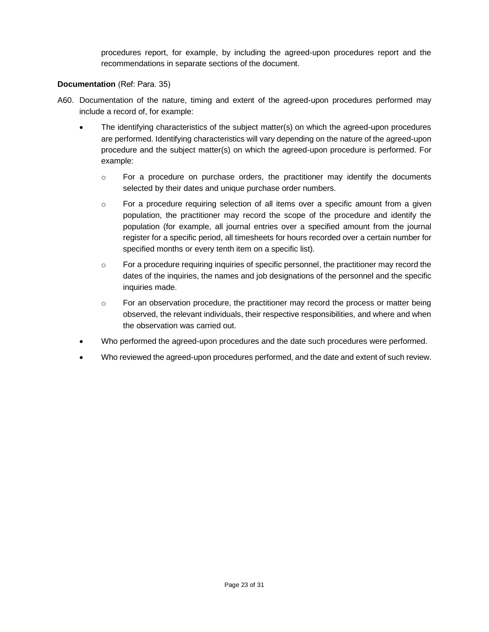procedures report, for example, by including the agreed-upon procedures report and the recommendations in separate sections of the document.

## <span id="page-22-0"></span>**Documentation** (Ref: Para. 35)

- A60. Documentation of the nature, timing and extent of the agreed-upon procedures performed may include a record of, for example:
	- The identifying characteristics of the subject matter(s) on which the agreed-upon procedures are performed. Identifying characteristics will vary depending on the nature of the agreed-upon procedure and the subject matter(s) on which the agreed-upon procedure is performed. For example:
		- $\circ$  For a procedure on purchase orders, the practitioner may identify the documents selected by their dates and unique purchase order numbers.
		- $\circ$  For a procedure requiring selection of all items over a specific amount from a given population, the practitioner may record the scope of the procedure and identify the population (for example, all journal entries over a specified amount from the journal register for a specific period, all timesheets for hours recorded over a certain number for specified months or every tenth item on a specific list).
		- $\circ$  For a procedure requiring inquiries of specific personnel, the practitioner may record the dates of the inquiries, the names and job designations of the personnel and the specific inquiries made.
		- o For an observation procedure, the practitioner may record the process or matter being observed, the relevant individuals, their respective responsibilities, and where and when the observation was carried out.
	- Who performed the agreed-upon procedures and the date such procedures were performed.
	- Who reviewed the agreed-upon procedures performed, and the date and extent of such review.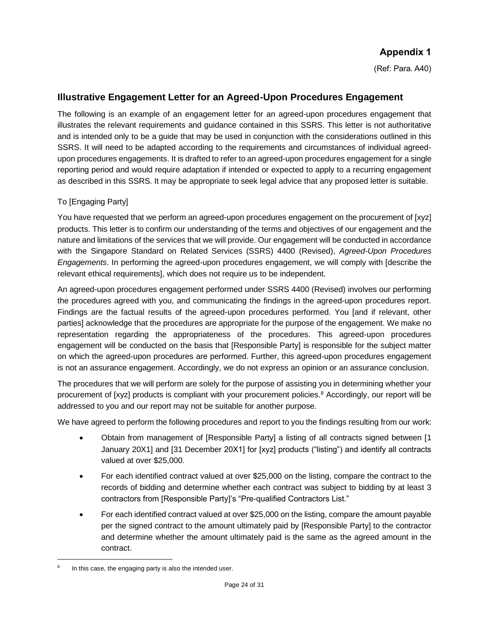# **Appendix 1**

(Ref: Para. A40)

# <span id="page-23-0"></span>**Illustrative Engagement Letter for an Agreed-Upon Procedures Engagement**

The following is an example of an engagement letter for an agreed-upon procedures engagement that illustrates the relevant requirements and guidance contained in this SSRS. This letter is not authoritative and is intended only to be a guide that may be used in conjunction with the considerations outlined in this SSRS. It will need to be adapted according to the requirements and circumstances of individual agreedupon procedures engagements. It is drafted to refer to an agreed-upon procedures engagement for a single reporting period and would require adaptation if intended or expected to apply to a recurring engagement as described in this SSRS. It may be appropriate to seek legal advice that any proposed letter is suitable.

## To [Engaging Party]

You have requested that we perform an agreed-upon procedures engagement on the procurement of [xyz] products. This letter is to confirm our understanding of the terms and objectives of our engagement and the nature and limitations of the services that we will provide. Our engagement will be conducted in accordance with the Singapore Standard on Related Services (SSRS) 4400 (Revised), *Agreed-Upon Procedures Engagements*. In performing the agreed-upon procedures engagement, we will comply with [describe the relevant ethical requirements], which does not require us to be independent.

An agreed-upon procedures engagement performed under SSRS 4400 (Revised) involves our performing the procedures agreed with you, and communicating the findings in the agreed-upon procedures report. Findings are the factual results of the agreed-upon procedures performed. You [and if relevant, other parties] acknowledge that the procedures are appropriate for the purpose of the engagement. We make no representation regarding the appropriateness of the procedures. This agreed-upon procedures engagement will be conducted on the basis that [Responsible Party] is responsible for the subject matter on which the agreed-upon procedures are performed. Further, this agreed-upon procedures engagement is not an assurance engagement. Accordingly, we do not express an opinion or an assurance conclusion.

The procedures that we will perform are solely for the purpose of assisting you in determining whether your procurement of [xyz] products is compliant with your procurement policies.<sup>8</sup> Accordingly, our report will be addressed to you and our report may not be suitable for another purpose.

We have agreed to perform the following procedures and report to you the findings resulting from our work:

- Obtain from management of [Responsible Party] a listing of all contracts signed between [1] January 20X1] and [31 December 20X1] for [xyz] products ("listing") and identify all contracts valued at over \$25,000.
- For each identified contract valued at over \$25,000 on the listing, compare the contract to the records of bidding and determine whether each contract was subject to bidding by at least 3 contractors from [Responsible Party]'s "Pre-qualified Contractors List."
- For each identified contract valued at over \$25,000 on the listing, compare the amount payable per the signed contract to the amount ultimately paid by [Responsible Party] to the contractor and determine whether the amount ultimately paid is the same as the agreed amount in the contract.

<sup>8</sup> In this case, the engaging party is also the intended user.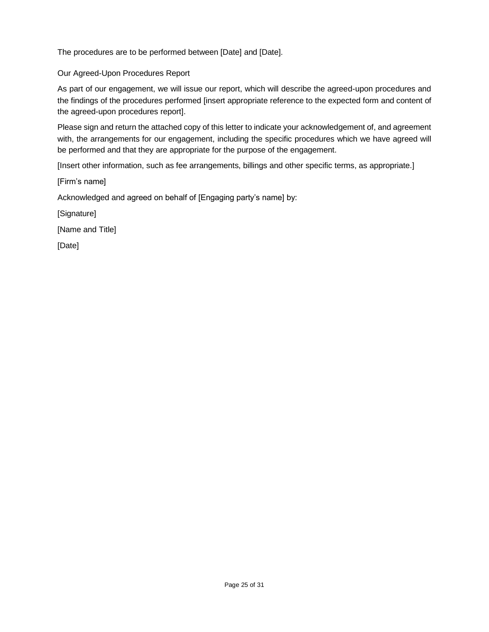The procedures are to be performed between [Date] and [Date].

## Our Agreed-Upon Procedures Report

As part of our engagement, we will issue our report, which will describe the agreed-upon procedures and the findings of the procedures performed [insert appropriate reference to the expected form and content of the agreed-upon procedures report].

Please sign and return the attached copy of this letter to indicate your acknowledgement of, and agreement with, the arrangements for our engagement, including the specific procedures which we have agreed will be performed and that they are appropriate for the purpose of the engagement.

[Insert other information, such as fee arrangements, billings and other specific terms, as appropriate.]

[Firm's name]

Acknowledged and agreed on behalf of [Engaging party's name] by:

[Signature]

[Name and Title]

[Date]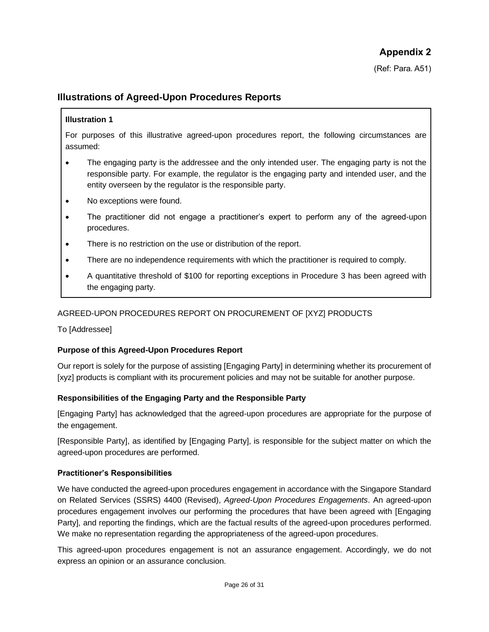(Ref: Para. A51)

# <span id="page-25-0"></span>**Illustrations of Agreed-Upon Procedures Reports**

#### **Illustration 1**

For purposes of this illustrative agreed-upon procedures report, the following circumstances are assumed:

- The engaging party is the addressee and the only intended user. The engaging party is not the responsible party. For example, the regulator is the engaging party and intended user, and the entity overseen by the regulator is the responsible party.
- No exceptions were found.
- The practitioner did not engage a practitioner's expert to perform any of the agreed-upon procedures.
- There is no restriction on the use or distribution of the report.
- There are no independence requirements with which the practitioner is required to comply.
- A quantitative threshold of \$100 for reporting exceptions in Procedure 3 has been agreed with the engaging party.

## AGREED-UPON PROCEDURES REPORT ON PROCUREMENT OF [XYZ] PRODUCTS

To [Addressee]

#### **Purpose of this Agreed-Upon Procedures Report**

Our report is solely for the purpose of assisting [Engaging Party] in determining whether its procurement of [xyz] products is compliant with its procurement policies and may not be suitable for another purpose.

#### **Responsibilities of the Engaging Party and the Responsible Party**

[Engaging Party] has acknowledged that the agreed-upon procedures are appropriate for the purpose of the engagement.

[Responsible Party], as identified by [Engaging Party], is responsible for the subject matter on which the agreed-upon procedures are performed.

#### **Practitioner's Responsibilities**

We have conducted the agreed-upon procedures engagement in accordance with the Singapore Standard on Related Services (SSRS) 4400 (Revised), *Agreed-Upon Procedures Engagements*. An agreed-upon procedures engagement involves our performing the procedures that have been agreed with [Engaging Party], and reporting the findings, which are the factual results of the agreed-upon procedures performed. We make no representation regarding the appropriateness of the agreed-upon procedures.

This agreed-upon procedures engagement is not an assurance engagement. Accordingly, we do not express an opinion or an assurance conclusion.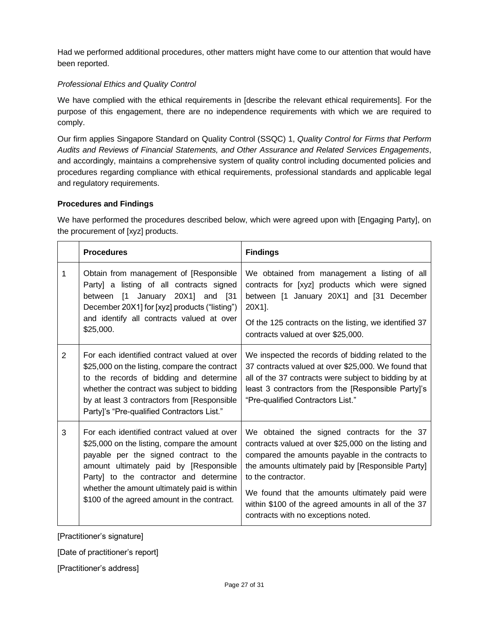Had we performed additional procedures, other matters might have come to our attention that would have been reported.

## *Professional Ethics and Quality Control*

We have complied with the ethical requirements in [describe the relevant ethical requirements]. For the purpose of this engagement, there are no independence requirements with which we are required to comply.

Our firm applies Singapore Standard on Quality Control (SSQC) 1, *Quality Control for Firms that Perform Audits and Reviews of Financial Statements, and Other Assurance and Related Services Engagements*, and accordingly, maintains a comprehensive system of quality control including documented policies and procedures regarding compliance with ethical requirements, professional standards and applicable legal and regulatory requirements.

## **Procedures and Findings**

We have performed the procedures described below, which were agreed upon with [Engaging Party], on the procurement of [xyz] products.

|                | <b>Procedures</b>                                                                                                                                                                                                                                                                                                       | <b>Findings</b>                                                                                                                                                                                                                                                                                                                                                                     |
|----------------|-------------------------------------------------------------------------------------------------------------------------------------------------------------------------------------------------------------------------------------------------------------------------------------------------------------------------|-------------------------------------------------------------------------------------------------------------------------------------------------------------------------------------------------------------------------------------------------------------------------------------------------------------------------------------------------------------------------------------|
| 1              | Obtain from management of [Responsible<br>Party] a listing of all contracts signed<br>between [1 January 20X1] and [31<br>December 20X1] for [xyz] products ("listing")<br>and identify all contracts valued at over<br>\$25,000.                                                                                       | We obtained from management a listing of all<br>contracts for [xyz] products which were signed<br>between [1 January 20X1] and [31 December<br>20X1].<br>Of the 125 contracts on the listing, we identified 37<br>contracts valued at over \$25,000.                                                                                                                                |
| $\overline{2}$ | For each identified contract valued at over<br>\$25,000 on the listing, compare the contract<br>to the records of bidding and determine<br>whether the contract was subject to bidding<br>by at least 3 contractors from [Responsible<br>Party]'s "Pre-qualified Contractors List."                                     | We inspected the records of bidding related to the<br>37 contracts valued at over \$25,000. We found that<br>all of the 37 contracts were subject to bidding by at<br>least 3 contractors from the [Responsible Party]'s<br>"Pre-qualified Contractors List."                                                                                                                       |
| 3              | For each identified contract valued at over<br>\$25,000 on the listing, compare the amount<br>payable per the signed contract to the<br>amount ultimately paid by [Responsible<br>Party] to the contractor and determine<br>whether the amount ultimately paid is within<br>\$100 of the agreed amount in the contract. | We obtained the signed contracts for the 37<br>contracts valued at over \$25,000 on the listing and<br>compared the amounts payable in the contracts to<br>the amounts ultimately paid by [Responsible Party]<br>to the contractor.<br>We found that the amounts ultimately paid were<br>within \$100 of the agreed amounts in all of the 37<br>contracts with no exceptions noted. |

[Practitioner's signature]

[Date of practitioner's report]

[Practitioner's address]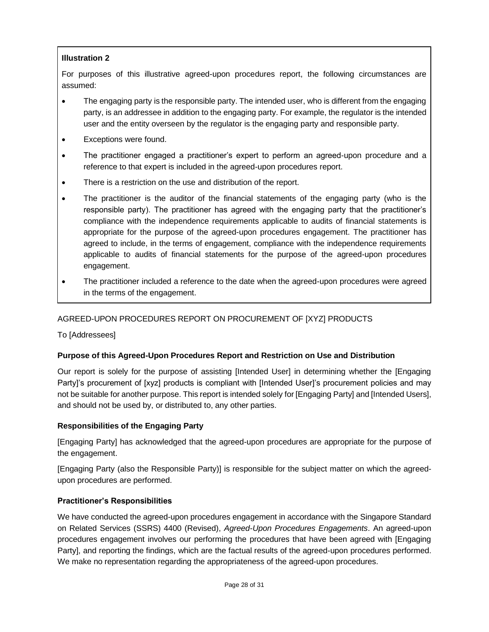## **Illustration 2**

For purposes of this illustrative agreed-upon procedures report, the following circumstances are assumed:

- The engaging party is the responsible party. The intended user, who is different from the engaging party, is an addressee in addition to the engaging party. For example, the regulator is the intended user and the entity overseen by the regulator is the engaging party and responsible party.
- Exceptions were found.
- The practitioner engaged a practitioner's expert to perform an agreed-upon procedure and a reference to that expert is included in the agreed-upon procedures report.
- There is a restriction on the use and distribution of the report.
- The practitioner is the auditor of the financial statements of the engaging party (who is the responsible party). The practitioner has agreed with the engaging party that the practitioner's compliance with the independence requirements applicable to audits of financial statements is appropriate for the purpose of the agreed-upon procedures engagement. The practitioner has agreed to include, in the terms of engagement, compliance with the independence requirements applicable to audits of financial statements for the purpose of the agreed-upon procedures engagement.
- The practitioner included a reference to the date when the agreed-upon procedures were agreed in the terms of the engagement.

# AGREED-UPON PROCEDURES REPORT ON PROCUREMENT OF [XYZ] PRODUCTS

To [Addressees]

## **Purpose of this Agreed-Upon Procedures Report and Restriction on Use and Distribution**

Our report is solely for the purpose of assisting [Intended User] in determining whether the [Engaging Party]'s procurement of [xyz] products is compliant with [Intended User]'s procurement policies and may not be suitable for another purpose. This report is intended solely for [Engaging Party] and [Intended Users], and should not be used by, or distributed to, any other parties.

## **Responsibilities of the Engaging Party**

[Engaging Party] has acknowledged that the agreed-upon procedures are appropriate for the purpose of the engagement.

[Engaging Party (also the Responsible Party)] is responsible for the subject matter on which the agreedupon procedures are performed.

## **Practitioner's Responsibilities**

We have conducted the agreed-upon procedures engagement in accordance with the Singapore Standard on Related Services (SSRS) 4400 (Revised), *Agreed-Upon Procedures Engagements*. An agreed-upon procedures engagement involves our performing the procedures that have been agreed with [Engaging Party], and reporting the findings, which are the factual results of the agreed-upon procedures performed. We make no representation regarding the appropriateness of the agreed-upon procedures.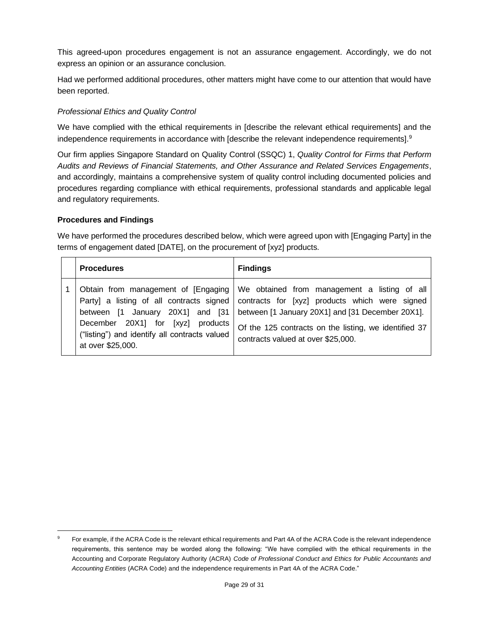This agreed-upon procedures engagement is not an assurance engagement. Accordingly, we do not express an opinion or an assurance conclusion.

Had we performed additional procedures, other matters might have come to our attention that would have been reported.

## *Professional Ethics and Quality Control*

We have complied with the ethical requirements in [describe the relevant ethical requirements] and the independence requirements in accordance with [describe the relevant independence requirements].<sup>9</sup>

Our firm applies Singapore Standard on Quality Control (SSQC) 1, *Quality Control for Firms that Perform Audits and Reviews of Financial Statements, and Other Assurance and Related Services Engagements*, and accordingly, maintains a comprehensive system of quality control including documented policies and procedures regarding compliance with ethical requirements, professional standards and applicable legal and regulatory requirements.

## **Procedures and Findings**

We have performed the procedures described below, which were agreed upon with [Engaging Party] in the terms of engagement dated [DATE], on the procurement of [xyz] products.

|  | <b>Procedures</b>                                                                                      | <b>Findings</b>                                                                                                                                                                                                                                                                                                                                                     |
|--|--------------------------------------------------------------------------------------------------------|---------------------------------------------------------------------------------------------------------------------------------------------------------------------------------------------------------------------------------------------------------------------------------------------------------------------------------------------------------------------|
|  | December 20X1 for [xyz] products<br>("listing") and identify all contracts valued<br>at over \$25,000. | Obtain from management of [Engaging   We obtained from management a listing of all<br>Party] a listing of all contracts signed   contracts for [xyz] products which were signed<br>between [1 January 20X1] and [31 between [1 January 20X1] and [31 December 20X1].<br>Of the 125 contracts on the listing, we identified 37<br>contracts valued at over \$25,000. |

For example, if the ACRA Code is the relevant ethical requirements and Part 4A of the ACRA Code is the relevant independence requirements, this sentence may be worded along the following: "We have complied with the ethical requirements in the Accounting and Corporate Regulatory Authority (ACRA) *Code of Professional Conduct and Ethics for Public Accountants and Accounting Entities* (ACRA Code) and the independence requirements in Part 4A of the ACRA Code."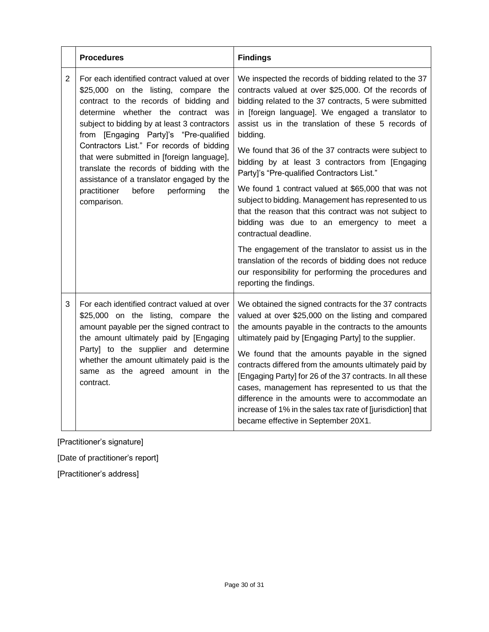|                | <b>Procedures</b>                                                                                                                                                                                                                                                                                                                                                                                                                                                                                                | <b>Findings</b>                                                                                                                                                                                                                                                                                                                                                                                                                                                                                                                                                                                                                                                                                                                                                                                                                                                                                           |
|----------------|------------------------------------------------------------------------------------------------------------------------------------------------------------------------------------------------------------------------------------------------------------------------------------------------------------------------------------------------------------------------------------------------------------------------------------------------------------------------------------------------------------------|-----------------------------------------------------------------------------------------------------------------------------------------------------------------------------------------------------------------------------------------------------------------------------------------------------------------------------------------------------------------------------------------------------------------------------------------------------------------------------------------------------------------------------------------------------------------------------------------------------------------------------------------------------------------------------------------------------------------------------------------------------------------------------------------------------------------------------------------------------------------------------------------------------------|
| $\overline{2}$ | For each identified contract valued at over<br>\$25,000 on the listing, compare the<br>contract to the records of bidding and<br>determine whether the contract was<br>subject to bidding by at least 3 contractors<br>from [Engaging Party]'s "Pre-qualified<br>Contractors List." For records of bidding<br>that were submitted in [foreign language],<br>translate the records of bidding with the<br>assistance of a translator engaged by the<br>performing<br>practitioner<br>before<br>the<br>comparison. | We inspected the records of bidding related to the 37<br>contracts valued at over \$25,000. Of the records of<br>bidding related to the 37 contracts, 5 were submitted<br>in [foreign language]. We engaged a translator to<br>assist us in the translation of these 5 records of<br>bidding.<br>We found that 36 of the 37 contracts were subject to<br>bidding by at least 3 contractors from [Engaging<br>Party]'s "Pre-qualified Contractors List."<br>We found 1 contract valued at \$65,000 that was not<br>subject to bidding. Management has represented to us<br>that the reason that this contract was not subject to<br>bidding was due to an emergency to meet a<br>contractual deadline.<br>The engagement of the translator to assist us in the<br>translation of the records of bidding does not reduce<br>our responsibility for performing the procedures and<br>reporting the findings. |
| 3              | For each identified contract valued at over<br>\$25,000 on the listing, compare the<br>amount payable per the signed contract to<br>the amount ultimately paid by [Engaging<br>Party] to the supplier and determine<br>whether the amount ultimately paid is the<br>same as the agreed amount in the<br>contract.                                                                                                                                                                                                | We obtained the signed contracts for the 37 contracts<br>valued at over \$25,000 on the listing and compared<br>the amounts payable in the contracts to the amounts<br>ultimately paid by [Engaging Party] to the supplier.<br>We found that the amounts payable in the signed<br>contracts differed from the amounts ultimately paid by<br>[Engaging Party] for 26 of the 37 contracts. In all these<br>cases, management has represented to us that the<br>difference in the amounts were to accommodate an<br>increase of 1% in the sales tax rate of [jurisdiction] that<br>became effective in September 20X1.                                                                                                                                                                                                                                                                                       |

[Practitioner's signature]

[Date of practitioner's report]

[Practitioner's address]